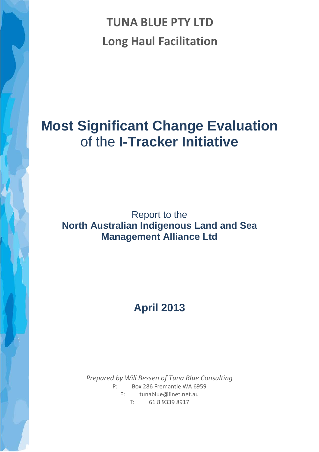**TUNA BLUE PTY LTD Long Haul Facilitation**

# **Most Significant Change Evaluation** of the **I-Tracker Initiative**

## Report to the **North Australian Indigenous Land and Sea Management Alliance Ltd**

# **April 2013**

<span id="page-0-0"></span>*Prepared by Will Bessen of Tuna Blue Consulting* P: Box 286 Fremantle WA 6959 E: [tunablue@iinet.net.au](mailto:tunablue@iinet.net.au) T: 61 8 9339 8917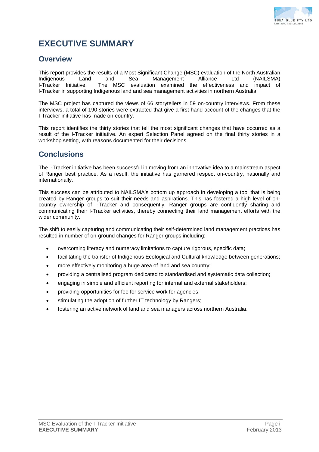

## **EXECUTIVE SUMMARY**

## **Overview**

This report provides the results of a Most Significant Change (MSC) evaluation of the North Australian<br>
Indigenous Land and Sea Management Alliance Ltd (NAILSMA) Indigenous Land and Sea Management<br>I-Tracker Initiative. The MSC evaluation examined The MSC evaluation examined the effectiveness and impact of I-Tracker in supporting Indigenous land and sea management activities in northern Australia.

The MSC project has captured the views of 66 storytellers in 59 on-country interviews. From these interviews, a total of 190 stories were extracted that give a first-hand account of the changes that the I-Tracker initiative has made on-country.

This report identifies the thirty stories that tell the most significant changes that have occurred as a result of the I-Tracker initiative. An expert Selection Panel agreed on the final thirty stories in a workshop setting, with reasons documented for their decisions.

## **Conclusions**

The I-Tracker initiative has been successful in moving from an innovative idea to a mainstream aspect of Ranger best practice. As a result, the initiative has garnered respect on-country, nationally and internationally.

This success can be attributed to NAILSMA's bottom up approach in developing a tool that is being created by Ranger groups to suit their needs and aspirations. This has fostered a high level of oncountry ownership of I-Tracker and consequently, Ranger groups are confidently sharing and communicating their I-Tracker activities, thereby connecting their land management efforts with the wider community.

The shift to easily capturing and communicating their self-determined land management practices has resulted in number of on-ground changes for Ranger groups including:

- overcoming literacy and numeracy limitations to capture rigorous, specific data;
- facilitating the transfer of Indigenous Ecological and Cultural knowledge between generations;
- more effectively monitoring a huge area of land and sea country;
- providing a centralised program dedicated to standardised and systematic data collection;
- engaging in simple and efficient reporting for internal and external stakeholders;
- providing opportunities for fee for service work for agencies;
- stimulating the adoption of further IT technology by Rangers;
- fostering an active network of land and sea managers across northern Australia.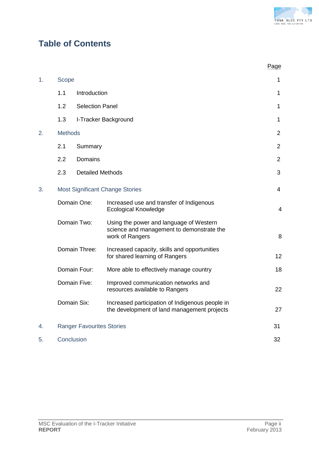

## **Table of Contents**

|    |                                        |                                                                                                         | Page           |
|----|----------------------------------------|---------------------------------------------------------------------------------------------------------|----------------|
| 1. | Scope                                  |                                                                                                         | 1              |
|    | 1.1                                    | Introduction                                                                                            | $\mathbf{1}$   |
|    | 1.2                                    | <b>Selection Panel</b>                                                                                  | 1              |
|    | 1.3                                    | I-Tracker Background                                                                                    | 1              |
| 2. | <b>Methods</b>                         |                                                                                                         | $\overline{2}$ |
|    | 2.1                                    | Summary                                                                                                 |                |
|    | 2.2                                    | <b>Domains</b>                                                                                          |                |
|    | 2.3                                    | <b>Detailed Methods</b>                                                                                 | 3              |
| 3. | <b>Most Significant Change Stories</b> |                                                                                                         | $\overline{4}$ |
|    | Domain One:                            | Increased use and transfer of Indigenous<br><b>Ecological Knowledge</b>                                 | 4              |
|    | Domain Two:                            | Using the power and language of Western<br>science and management to demonstrate the<br>work of Rangers | 8              |
|    | Domain Three:                          | Increased capacity, skills and opportunities<br>for shared learning of Rangers                          | 12             |
|    | Domain Four:                           | More able to effectively manage country                                                                 | 18             |
|    | Domain Five:                           | Improved communication networks and<br>resources available to Rangers                                   | 22             |
|    | Domain Six:                            | Increased participation of Indigenous people in<br>the development of land management projects          | 27             |
| 4. |                                        | <b>Ranger Favourites Stories</b>                                                                        | 31             |
| 5. | Conclusion                             |                                                                                                         | 32             |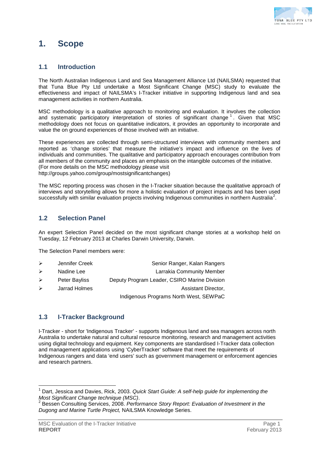

## **1. Scope**

## **1.1 Introduction**

The North Australian Indigenous Land and Sea Management Alliance Ltd (NAILSMA) requested that that Tuna Blue Pty Ltd undertake a Most Significant Change (MSC) study to evaluate the effectiveness and impact of NAILSMA's I-Tracker initiative in supporting Indigenous land and sea management activities in northern Australia.

MSC methodology is a qualitative approach to monitoring and evaluation. It involves the collection and systematic participatory interpretation of stories of significant change<sup>[1](#page-0-0)</sup>. Given that MSC methodology does not focus on quantitative indicators, it provides an opportunity to incorporate and value the on ground experiences of those involved with an initiative.

These experiences are collected through semi-structured interviews with community members and reported as 'change stories' that measure the initiative's impact and influence on the lives of individuals and communities. The qualitative and participatory approach encourages contribution from all members of the community and places an emphasis on the intangible outcomes of the initiative. (For more details on the MSC methodology please visit http://groups.yahoo.com/group/mostsignificantchanges)

The MSC reporting process was chosen in the I-Tracker situation because the qualitative approach of interviews and storytelling allows for more a holistic evaluation of project impacts and has been used successfully with similar evaluation projects involving Indigenous communities in northern Australia<sup>[2](#page-3-0)</sup>.

## **1.2 Selection Panel**

An expert Selection Panel decided on the most significant change stories at a workshop held on Tuesday, 12 February 2013 at Charles Darwin University, Darwin.

The Selection Panel members were:

- ▶ Jennifer Creek Senior Ranger, Kalan Rangers
- > Nadine Lee **Larrakia Community Member**
- Peter Bayliss Deputy Program Leader, CSIRO Marine Division
- arrad Holmes Assistant Director,

Indigenous Programs North West, SEWPaC

## **1.3 I-Tracker Background**

I-Tracker - short for 'Indigenous Tracker' - supports Indigenous land and sea managers across north Australia to undertake natural and cultural resource monitoring, research and management activities using digital technology and equipment. Key components are standardised I-Tracker data collection and management applications using 'CyberTracker' software that meet the requirements of Indigenous rangers and data 'end users' such as government management or enforcement agencies and research partners.

 <sup>1</sup> Dart, Jessica and Davies, Rick, 2003. *Quick Start Guide: A self-help guide for implementing the* 

<span id="page-3-0"></span><sup>&</sup>lt;sup>2</sup> Bessen Consulting Services, 2008. Performance Story Report: Evaluation of Investment in the *Dugong and Marine Turtle Project,* NAILSMA Knowledge Series.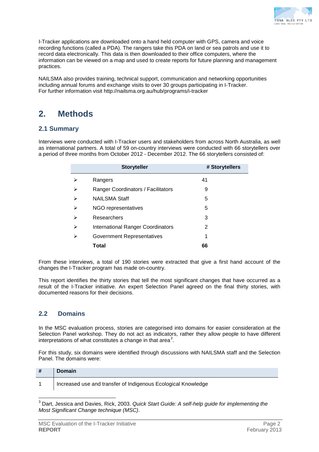

I-Tracker applications are downloaded onto a hand held computer with GPS, camera and voice recording functions (called a PDA). The rangers take this PDA on land or sea patrols and use it to record data electronically. This data is then downloaded to their office computers, where the information can be viewed on a map and used to create reports for future planning and management practices.

NAILSMA also provides training, technical support, communication and networking opportunities including annual forums and exchange visits to over 30 groups participating in I-Tracker. For further information visit http://nailsma.org.au/hub/programs/i-tracker

## **2. Methods**

## **2.1 Summary**

Interviews were conducted with I-Tracker users and stakeholders from across North Australia, as well as international partners. A total of 59 on-country interviews were conducted with 66 storytellers over a period of three months from October 2012 - December 2012. The 66 storytellers consisted of:

|   | <b>Storyteller</b>                 | # Storytellers |
|---|------------------------------------|----------------|
|   | Rangers                            | 41             |
| ⋗ | Ranger Coordinators / Facilitators | 9              |
| ↘ | <b>NAILSMA Staff</b>               | 5              |
| ⋗ | NGO representatives                | 5              |
| ↘ | Researchers                        | 3              |
| ⋗ | International Ranger Coordinators  | 2              |
| ⋗ | Government Representatives         | 1              |
|   | Total                              | 66             |

From these interviews, a total of 190 stories were extracted that give a first hand account of the changes the I-Tracker program has made on-country.

This report identifies the thirty stories that tell the most significant changes that have occurred as a result of the I-Tracker initiative. An expert Selection Panel agreed on the final thirty stories, with documented reasons for their decisions.

## **2.2 Domains**

In the MSC evaluation process, stories are categorised into domains for easier consideration at the Selection Panel workshop. They do not act as indicators, rather they allow people to have different interpretations of what constitutes a change in that area<sup>[3](#page-3-0)</sup>.

For this study, six domains were identified through discussions with NAILSMA staff and the Selection Panel. The domains were:

| # | Domain                                                        |
|---|---------------------------------------------------------------|
|   | Increased use and transfer of Indigenous Ecological Knowledge |

 <sup>3</sup> Dart, Jessica and Davies, Rick, 2003. *Quick Start Guide: A self-help guide for implementing the Most Significant Change technique (MSC)*.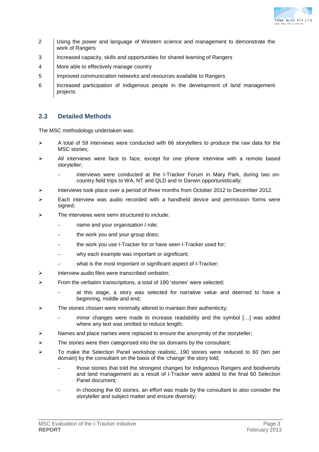

- 2 Using the power and language of Western science and management to demonstrate the work of Rangers
- 3 Increased capacity, skills and opportunities for shared learning of Rangers
- 4 More able to effectively manage country
- 5 Improved communication networks and resources available to Rangers
- 6 Increased participation of Indigenous people in the development of land management projects

## **2.3 Detailed Methods**

The MSC methodology undertaken was:

- $\triangleright$  A total of 59 interviews were conducted with 66 storytellers to produce the raw data for the MSC stories;
- $\triangleright$  All interviews were face to face, except for one phone interview with a remote based storyteller;
	- interviews were conducted at the I-Tracker Forum in Mary Park, during two oncountry field trips to WA, NT and QLD and in Darwin opportunistically;
- $\triangleright$  Interviews took place over a period of three months from October 2012 to December 2012.
- Each interview was audio recorded with a handheld device and permission forms were signed;
- $\triangleright$  The interviews were semi structured to include:
	- name and your organisation / role;
	- the work you and your group does;
	- the work you use I-Tracker for or have seen I-Tracker used for;
	- why each example was important or significant;
	- what is the most important or significant aspect of I-Tracker;
- $\triangleright$  Interview audio files were transcribed verbatim;
- $\triangleright$  From the verbatim transcriptions, a total of 190 'stories' were selected;
	- at this stage, a story was selected for narrative value and deemed to have a beginning, middle and end;
- $\triangleright$  The stories chosen were minimally altered to maintain their authenticity;
	- minor changes were made to increase readability and the symbol [...] was added where any text was omitted to reduce length;
- $\triangleright$  Names and place names were replaced to ensure the anonymity of the storyteller;
- $\triangleright$  The stories were then categorised into the six domains by the consultant;
- $\triangleright$  To make the Selection Panel workshop realistic, 190 stories were reduced to 60 (ten per domain) by the consultant on the basis of the 'change' the story told;
	- those stories that told the strongest changes for Indigenous Rangers and biodiversity and land management as a result of I-Tracker were added to the final 60 Selection Panel document;
	- in choosing the 60 stories, an effort was made by the consultant to also consider the storyteller and subject matter and ensure diversity;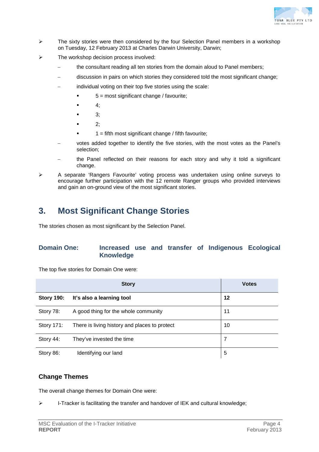

- $\triangleright$  The sixty stories were then considered by the four Selection Panel members in a workshop on Tuesday, 12 February 2013 at Charles Darwin University, Darwin;
- $\triangleright$  The workshop decision process involved:
	- the consultant reading all ten stories from the domain aloud to Panel members;
	- − discussion in pairs on which stories they considered told the most significant change;
	- individual voting on their top five stories using the scale:
		- $5 =$  most significant change / favourite;
		- 4;
		- 3;
		- 2;
			- $1 =$  fifth most significant change / fifth favourite;
	- votes added together to identify the five stories, with the most votes as the Panel's selection;
	- the Panel reflected on their reasons for each story and why it told a significant change.
- A separate 'Rangers Favourite' voting process was undertaken using online surveys to encourage further participation with the 12 remote Ranger groups who provided interviews and gain an on-ground view of the most significant stories.

## **3. Most Significant Change Stories**

The stories chosen as most significant by the Selection Panel.

## **Domain One: Increased use and transfer of Indigenous Ecological Knowledge**

The top five stories for Domain One were:

|                   | <b>Story</b>                                  | <b>Votes</b> |
|-------------------|-----------------------------------------------|--------------|
| <b>Story 190:</b> | It's also a learning tool                     | 12           |
| Story 78:         | A good thing for the whole community          | 11           |
| Story 171:        | There is living history and places to protect | 10           |
| Story 44:         | They've invested the time                     | 7            |
| Story 86:         | Identifying our land                          | 5            |

## **Change Themes**

The overall change themes for Domain One were:

 $\triangleright$  I-Tracker is facilitating the transfer and handover of IEK and cultural knowledge;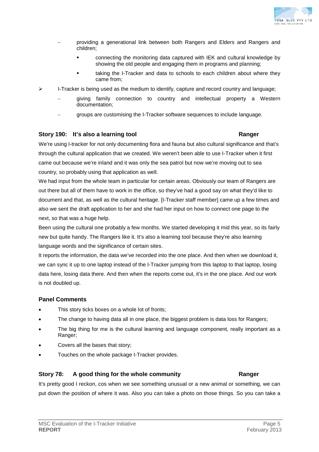

- − providing a generational link between both Rangers and Elders and Rangers and children;
	- connecting the monitoring data captured with IEK and cultural knowledge by showing the old people and engaging them in programs and planning;
	- taking the I-Tracker and data to schools to each children about where they came from;
- $\triangleright$  I-Tracker is being used as the medium to identify, capture and record country and language;
	- giving family connection to country and intellectual property a Western documentation;
	- groups are customising the I-Tracker software sequences to include language.

## **Story 190: It's also a learning tool Ranger**

We're using I-tracker for not only documenting flora and fauna but also cultural significance and that's through the cultural application that we created. We weren't been able to use I-Tracker when it first came out because we're inland and it was only the sea patrol but now we're moving out to sea country, so probably using that application as well.

We had input from the whole team in particular for certain areas. Obviously our team of Rangers are out there but all of them have to work in the office, so they've had a good say on what they'd like to document and that, as well as the cultural heritage. [I-Tracker staff member] came up a few times and also we sent the draft application to her and she had her input on how to connect one page to the next, so that was a huge help.

Been using the cultural one probably a few months. We started developing it mid this year, so its fairly new but quite handy. The Rangers like it. It's also a learning tool because they're also learning language words and the significance of certain sites.

It reports the information, the data we've recorded into the one place. And then when we download it, we can sync it up to one laptop instead of the I-Tracker jumping from this laptop to that laptop, losing data here, losing data there. And then when the reports come out, it's in the one place. And our work is not doubled up.

## **Panel Comments**

- This story ticks boxes on a whole lot of fronts;
- The change to having data all in one place, the biggest problem is data loss for Rangers;
- The big thing for me is the cultural learning and language component, really important as a Ranger;
- Covers all the bases that story;
- Touches on the whole package I-Tracker provides.

## **Story 78: A good thing for the whole community Ranger**

It's pretty good I reckon, cos when we see something unusual or a new animal or something, we can put down the position of where it was. Also you can take a photo on those things. So you can take a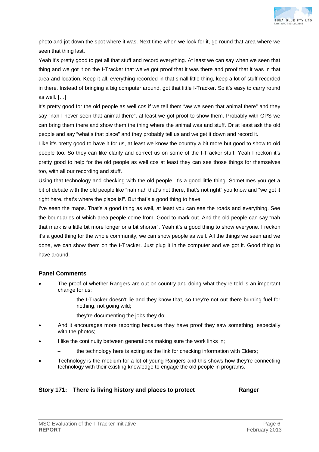

photo and jot down the spot where it was. Next time when we look for it, go round that area where we seen that thing last.

Yeah it's pretty good to get all that stuff and record everything. At least we can say when we seen that thing and we got it on the I-Tracker that we've got proof that it was there and proof that it was in that area and location. Keep it all, everything recorded in that small little thing, keep a lot of stuff recorded in there. Instead of bringing a big computer around, got that little I-Tracker. So it's easy to carry round as well. […]

It's pretty good for the old people as well cos if we tell them "aw we seen that animal there" and they say "nah I never seen that animal there", at least we got proof to show them. Probably with GPS we can bring them there and show them the thing where the animal was and stuff. Or at least ask the old people and say "what's that place" and they probably tell us and we get it down and record it.

Like it's pretty good to have it for us, at least we know the country a bit more but good to show to old people too. So they can like clarify and correct us on some of the I-Tracker stuff. Yeah I reckon it's pretty good to help for the old people as well cos at least they can see those things for themselves too, with all our recording and stuff.

Using that technology and checking with the old people, it's a good little thing. Sometimes you get a bit of debate with the old people like "nah nah that's not there, that's not right" you know and "we got it right here, that's where the place is!". But that's a good thing to have.

I've seen the maps. That's a good thing as well, at least you can see the roads and everything. See the boundaries of which area people come from. Good to mark out. And the old people can say "nah that mark is a little bit more longer or a bit shorter". Yeah it's a good thing to show everyone. I reckon it's a good thing for the whole community, we can show people as well. All the things we seen and we done, we can show them on the I-Tracker. Just plug it in the computer and we got it. Good thing to have around.

## **Panel Comments**

- The proof of whether Rangers are out on country and doing what they're told is an important change for us;
	- the I-Tracker doesn't lie and they know that, so they're not out there burning fuel for nothing, not going wild;
	- they're documenting the jobs they do;
- And it encourages more reporting because they have proof they saw something, especially with the photos;
- I like the continuity between generations making sure the work links in;
	- the technology here is acting as the link for checking information with Elders;
- Technology is the medium for a lot of young Rangers and this shows how they're connecting technology with their existing knowledge to engage the old people in programs.

## **Story 171: There is living history and places to protect Ranger**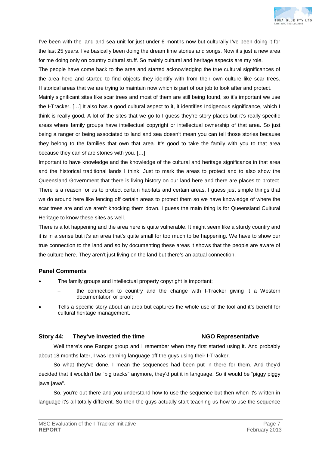

I've been with the land and sea unit for just under 6 months now but culturally I've been doing it for the last 25 years. I've basically been doing the dream time stories and songs. Now it's just a new area for me doing only on country cultural stuff. So mainly cultural and heritage aspects are my role.

The people have come back to the area and started acknowledging the true cultural significances of the area here and started to find objects they identify with from their own culture like scar trees. Historical areas that we are trying to maintain now which is part of our job to look after and protect.

Mainly significant sites like scar trees and most of them are still being found, so it's important we use the I-Tracker. […] It also has a good cultural aspect to it, it identifies Indigenous significance, which I think is really good. A lot of the sites that we go to I guess they're story places but it's really specific areas where family groups have intellectual copyright or intellectual ownership of that area. So just being a ranger or being associated to land and sea doesn't mean you can tell those stories because they belong to the families that own that area. It's good to take the family with you to that area because they can share stories with you. […]

Important to have knowledge and the knowledge of the cultural and heritage significance in that area and the historical traditional lands I think. Just to mark the areas to protect and to also show the Queensland Government that there is living history on our land here and there are places to protect. There is a reason for us to protect certain habitats and certain areas. I guess just simple things that we do around here like fencing off certain areas to protect them so we have knowledge of where the scar trees are and we aren't knocking them down. I guess the main thing is for Queensland Cultural Heritage to know these sites as well.

There is a lot happening and the area here is quite vulnerable. It might seem like a sturdy country and it is in a sense but it's an area that's quite small for too much to be happening. We have to show our true connection to the land and so by documenting these areas it shows that the people are aware of the culture here. They aren't just living on the land but there's an actual connection.

## **Panel Comments**

- The family groups and intellectual property copyright is important;
	- the connection to country and the change with I-Tracker giving it a Western documentation or proof;
- Tells a specific story about an area but captures the whole use of the tool and it's benefit for cultural heritage management.

### **Story 44: They've invested the time NGO Representative**

Well there's one Ranger group and I remember when they first started using it. And probably about 18 months later, I was learning language off the guys using their I-Tracker.

So what they've done, I mean the sequences had been put in there for them. And they'd decided that it wouldn't be "pig tracks" anymore, they'd put it in language. So it would be "piggy piggy jawa jawa".

So, you're out there and you understand how to use the sequence but then when it's written in language it's all totally different. So then the guys actually start teaching us how to use the sequence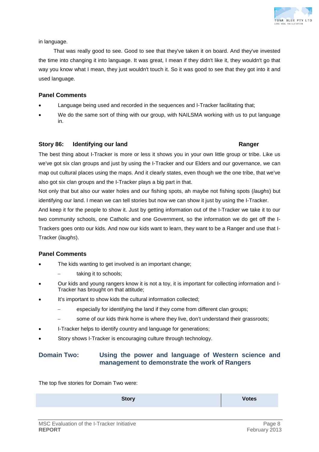

in language.

That was really good to see. Good to see that they've taken it on board. And they've invested the time into changing it into language. It was great, I mean if they didn't like it, they wouldn't go that way you know what I mean, they just wouldn't touch it. So it was good to see that they got into it and used language.

## **Panel Comments**

- Language being used and recorded in the sequences and I-Tracker facilitating that;
- We do the same sort of thing with our group, with NAILSMA working with us to put language in.

## **Story 86: Identifying our land Ranger**

The best thing about I-Tracker is more or less it shows you in your own little group or tribe. Like us we've got six clan groups and just by using the I-Tracker and our Elders and our governance, we can map out cultural places using the maps. And it clearly states, even though we the one tribe, that we've also got six clan groups and the I-Tracker plays a big part in that.

Not only that but also our water holes and our fishing spots, ah maybe not fishing spots (*laughs*) but identifying our land. I mean we can tell stories but now we can show it just by using the I-Tracker.

And keep it for the people to show it. Just by getting information out of the I-Tracker we take it to our two community schools, one Catholic and one Government, so the information we do get off the I-Trackers goes onto our kids. And now our kids want to learn, they want to be a Ranger and use that I-Tracker (*laughs*).

## **Panel Comments**

- The kids wanting to get involved is an important change;
	- taking it to schools;
- Our kids and young rangers know it is not a toy, it is important for collecting information and I-Tracker has brought on that attitude;
- It's important to show kids the cultural information collected;
	- especially for identifying the land if they come from different clan groups;
	- some of our kids think home is where they live, don't understand their grassroots;
- I-Tracker helps to identify country and language for generations;
- Story shows I-Tracker is encouraging culture through technology.

## **Domain Two: Using the power and language of Western science and management to demonstrate the work of Rangers**

The top five stories for Domain Two were:

**Story Votes**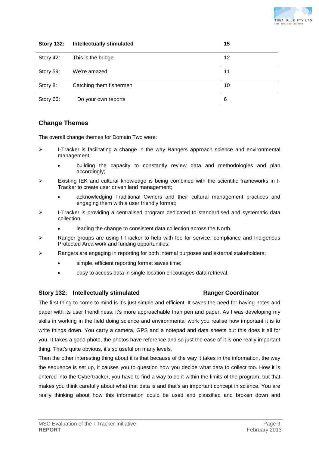

| <b>Story 132:</b> | <b>Intellectually stimulated</b> | 15 |
|-------------------|----------------------------------|----|
| Story 42:         | This is the bridge               | 12 |
| Story 59:         | We're amazed                     | 11 |
| Story 8:          | Catching them fishermen          | 10 |
| Story 66:         | Do your own reports              | 6  |

## **Change Themes**

The overall change themes for Domain Two were:

- $\triangleright$  I-Tracker is facilitating a change in the way Rangers approach science and environmental management;
	- building the capacity to constantly review data and methodologies and plan accordingly;
- $\triangleright$  Existing IEK and cultural knowledge is being combined with the scientific frameworks in I-Tracker to create user driven land management;
	- acknowledging Traditional Owners and their cultural management practices and engaging them with a user friendly format;
- $\triangleright$  I-Tracker is providing a centralised program dedicated to standardised and systematic data collection
	- leading the change to consistent data collection across the North.
- $\triangleright$  Ranger groups are using I-Tracker to help with fee for service, compliance and Indigenous Protected Area work and funding opportunities;
- Rangers are engaging in reporting for both internal purposes and external stakeholders;
	- simple, efficient reporting format saves time;
	- easy to access data in single location encourages data retrieval.

### **Story 132: Intellectually stimulated Ranger Coordinator**

The first thing to come to mind is it's just simple and efficient. It saves the need for having notes and paper with its user friendliness, it's more approachable than pen and paper. As I was developing my skills in working in the field doing science and environmental work you realise how important it is to write things down. You carry a camera, GPS and a notepad and data sheets but this does it all for you. It takes a good photo, the photos have reference and so just the ease of it is one really important thing. That's quite obvious, it's so useful on many levels.

Then the other interesting thing about it is that because of the way it takes in the information, the way the sequence is set up, it causes you to question how you decide what data to collect too. How it is entered into the Cybertracker, you have to find a way to do it within the limits of the program, but that makes you think carefully about what that data is and that's an important concept in science. You are really thinking about how this information could be used and classified and broken down and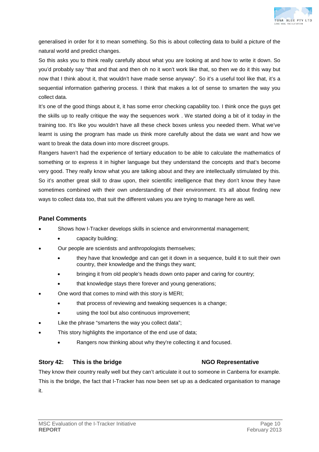

generalised in order for it to mean something. So this is about collecting data to build a picture of the natural world and predict changes.

So this asks you to think really carefully about what you are looking at and how to write it down. So you'd probably say "that and that and then oh no it won't work like that, so then we do it this way but now that I think about it, that wouldn't have made sense anyway". So it's a useful tool like that, it's a sequential information gathering process. I think that makes a lot of sense to smarten the way you collect data.

It's one of the good things about it, it has some error checking capability too. I think once the guys get the skills up to really critique the way the sequences work . We started doing a bit of it today in the training too. It's like you wouldn't have all these check boxes unless you needed them. What we've learnt is using the program has made us think more carefully about the data we want and how we want to break the data down into more discreet groups.

Rangers haven't had the experience of tertiary education to be able to calculate the mathematics of something or to express it in higher language but they understand the concepts and that's become very good. They really know what you are talking about and they are intellectually stimulated by this. So it's another great skill to draw upon, their scientific intelligence that they don't know they have sometimes combined with their own understanding of their environment. It's all about finding new ways to collect data too, that suit the different values you are trying to manage here as well.

## **Panel Comments**

- Shows how I-Tracker develops skills in science and environmental management;
	- capacity building;
- Our people are scientists and anthropologists themselves;
	- they have that knowledge and can get it down in a sequence, build it to suit their own country, their knowledge and the things they want;
	- bringing it from old people's heads down onto paper and caring for country;
	- that knowledge stays there forever and young generations;
- One word that comes to mind with this story is MERI;
	- that process of reviewing and tweaking sequences is a change;
	- using the tool but also continuous improvement;
- Like the phrase "smartens the way you collect data";
- This story highlights the importance of the end use of data;
	- Rangers now thinking about why they're collecting it and focused.

## **Story 42: This is the bridge NGO Representative**

They know their country really well but they can't articulate it out to someone in Canberra for example. This is the bridge, the fact that I-Tracker has now been set up as a dedicated organisation to manage it.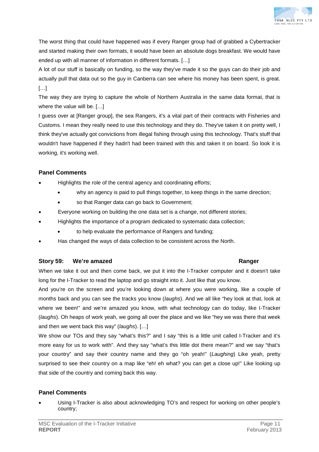

The worst thing that could have happened was if every Ranger group had of grabbed a Cybertracker and started making their own formats, it would have been an absolute dogs breakfast. We would have ended up with all manner of information in different formats. […]

A lot of our stuff is basically on funding, so the way they've made it so the guys can do their job and actually pull that data out so the guy in Canberra can see where his money has been spent, is great. […]

The way they are trying to capture the whole of Northern Australia in the same data format, that is where the value will be. […]

I guess over at [Ranger group], the sea Rangers, it's a vital part of their contracts with Fisheries and Customs. I mean they really need to use this technology and they do. They've taken it on pretty well, I think they've actually got convictions from illegal fishing through using this technology. That's stuff that wouldn't have happened if they hadn't had been trained with this and taken it on board. So look it is working, it's working well.

## **Panel Comments**

- Highlights the role of the central agency and coordinating efforts;
	- why an agency is paid to pull things together, to keep things in the same direction;
	- so that Ranger data can go back to Government;
- Everyone working on building the one data set is a change, not different stories;
- Highlights the importance of a program dedicated to systematic data collection;
	- to help evaluate the performance of Rangers and funding;
- Has changed the ways of data collection to be consistent across the North.

## **Story 59: We're amazed Ranger**

When we take it out and then come back, we put it into the I-Tracker computer and it doesn't take long for the I-Tracker to read the laptop and go straight into it. Just like that you know.

And you're on the screen and you're looking down at where you were working, like a couple of months back and you can see the tracks you know (*laughs*). And we all like "hey look at that, look at where we been!" and we're amazed you know, with what technology can do today, like I-Tracker (*laughs*). Oh heaps of work yeah, we going all over the place and we like "hey we was there that week and then we went back this way" (*laughs*). […]

We show our TOs and they say "what's this?" and I say "this is a little unit called I-Tracker and it's more easy for us to work with". And they say "what's this little dot there mean?" and we say "that's your country" and say their country name and they go "oh yeah!" (*Laughing*) Like yeah, pretty surprised to see their country on a map like "eh! eh what? you can get a close up!" Like looking up that side of the country and coming back this way.

## **Panel Comments**

• Using I-Tracker is also about acknowledging TO's and respect for working on other people's country;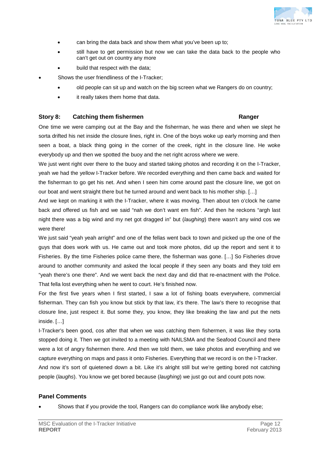

- can bring the data back and show them what you've been up to;
- still have to get permission but now we can take the data back to the people who can't get out on country any more
- build that respect with the data;
- Shows the user friendliness of the I-Tracker:
	- old people can sit up and watch on the big screen what we Rangers do on country;
	- it really takes them home that data.

## **Story 8: Catching them fishermen Ranger**

One time we were camping out at the Bay and the fisherman, he was there and when we slept he sorta drifted his net inside the closure lines, right in. One of the boys woke up early morning and then seen a boat, a black thing going in the corner of the creek, right in the closure line. He woke everybody up and then we spotted the buoy and the net right across where we were.

We just went right over there to the buoy and started taking photos and recording it on the I-Tracker, yeah we had the yellow I-Tracker before. We recorded everything and then came back and waited for the fisherman to go get his net. And when I seen him come around past the closure line, we got on our boat and went straight there but he turned around and went back to his mother ship. […]

And we kept on marking it with the I-Tracker, where it was moving. Then about ten o'clock he came back and offered us fish and we said "nah we don't want em fish". And then he reckons "argh last night there was a big wind and my net got dragged in" but (*laughing*) there wasn't any wind cos we were there!

We just said "yeah yeah arright" and one of the fellas went back to town and picked up the one of the guys that does work with us. He came out and took more photos, did up the report and sent it to Fisheries. By the time Fisheries police came there, the fisherman was gone. […] So Fisheries drove around to another community and asked the local people if they seen any boats and they told em "yeah there's one there". And we went back the next day and did that re-enactment with the Police. That fella lost everything when he went to court. He's finished now.

For the first five years when I first started, I saw a lot of fishing boats everywhere, commercial fisherman. They can fish you know but stick by that law, it's there. The law's there to recognise that closure line, just respect it. But some they, you know, they like breaking the law and put the nets inside. […]

I-Tracker's been good, cos after that when we was catching them fishermen, it was like they sorta stopped doing it. Then we got invited to a meeting with NAILSMA and the Seafood Council and there were a lot of angry fishermen there. And then we told them, we take photos and everything and we capture everything on maps and pass it onto Fisheries. Everything that we record is on the I-Tracker.

And now it's sort of quietened down a bit. Like it's alright still but we're getting bored not catching people (*laughs*). You know we get bored because (*laughing*) we just go out and count pots now.

## **Panel Comments**

• Shows that if you provide the tool, Rangers can do compliance work like anybody else;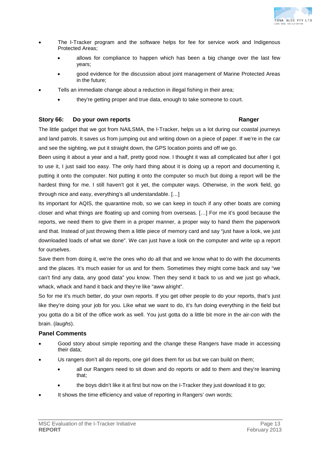

- The I-Tracker program and the software helps for fee for service work and Indigenous Protected Areas;
	- allows for compliance to happen which has been a big change over the last few years;
	- good evidence for the discussion about joint management of Marine Protected Areas in the future;
- Tells an immediate change about a reduction in illegal fishing in their area;
	- they're getting proper and true data, enough to take someone to court.

## **Story 66: Do your own reports Ranger**

The little gadget that we got from NAILSMA, the I-Tracker, helps us a lot during our coastal journeys and land patrols. It saves us from jumping out and writing down on a piece of paper. If we're in the car and see the sighting, we put it straight down, the GPS location points and off we go.

Been using it about a year and a half, pretty good now. I thought it was all complicated but after I got to use it, I just said too easy. The only hard thing about it is doing up a report and documenting it, putting it onto the computer. Not putting it onto the computer so much but doing a report will be the hardest thing for me. I still haven't got it yet, the computer ways. Otherwise, in the work field, go through nice and easy, everything's all understandable. […]

Its important for AQIS, the quarantine mob, so we can keep in touch if any other boats are coming closer and what things are floating up and coming from overseas. […] For me it's good because the reports, we need them to give them in a proper manner, a proper way to hand them the paperwork and that. Instead of just throwing them a little piece of memory card and say "just have a look, we just downloaded loads of what we done". We can just have a look on the computer and write up a report for ourselves.

Save them from doing it, we're the ones who do all that and we know what to do with the documents and the places. It's much easier for us and for them. Sometimes they might come back and say "we can't find any data, any good data" you know. Then they send it back to us and we just go whack, whack, whack and hand it back and they're like "aww alright".

So for me it's much better, do your own reports. If you get other people to do your reports, that's just like they're doing your job for you. Like what we want to do, it's fun doing everything in the field but you gotta do a bit of the office work as well. You just gotta do a little bit more in the air-con with the brain. (*laughs*).

## **Panel Comments**

- Good story about simple reporting and the change these Rangers have made in accessing their data;
- Us rangers don't all do reports, one girl does them for us but we can build on them;
	- all our Rangers need to sit down and do reports or add to them and they're learning that;
	- the boys didn't like it at first but now on the I-Tracker they just download it to go;
- It shows the time efficiency and value of reporting in Rangers' own words;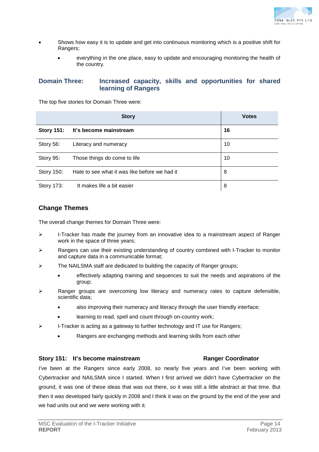

- Shows how easy it is to update and get into continuous monitoring which is a positive shift for Rangers;
	- everything in the one place, easy to update and encouraging monitoring the health of the country.

## **Domain Three: Increased capacity, skills and opportunities for shared learning of Rangers**

The top five stories for Domain Three were:

|                   | <b>Story</b>                                  | <b>Votes</b> |
|-------------------|-----------------------------------------------|--------------|
| <b>Story 151:</b> | It's become mainstream                        | 16           |
| Story 56:         | Literacy and numeracy                         | 10           |
| Story 95:         | Those things do come to life                  | 10           |
| Story 150:        | Hate to see what it was like before we had it | 8            |
| Story 173:        | It makes life a bit easier                    | 8            |

## **Change Themes**

The overall change themes for Domain Three were:

- $\triangleright$  I-Tracker has made the journey from an innovative idea to a mainstream aspect of Ranger work in the space of three years;
- $\triangleright$  Rangers can use their existing understanding of country combined with I-Tracker to monitor and capture data in a communicable format;
- $\triangleright$  The NAILSMA staff are dedicated to building the capacity of Ranger groups;
	- effectively adapting training and sequences to suit the needs and aspirations of the group;
- $\triangleright$  Ranger groups are overcoming low literacy and numeracy rates to capture defensible, scientific data;
	- also improving their numeracy and literacy through the user friendly interface;
	- learning to read, spell and count through on-country work;
- $\triangleright$  I-Tracker is acting as a gateway to further technology and IT use for Rangers;
	- Rangers are exchanging methods and learning skills from each other

### **Story 151: It's become mainstream Ranger Coordinator**

I've been at the Rangers since early 2008, so nearly five years and I've been working with Cybertracker and NAILSMA since I started. When I first arrived we didn't have Cybertracker on the ground, it was one of these ideas that was out there, so it was still a little abstract at that time. But then it was developed fairly quickly in 2008 and I think it was on the ground by the end of the year and we had units out and we were working with it.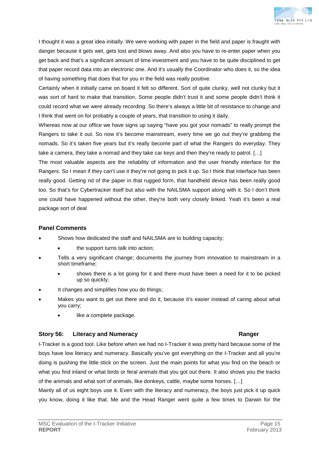

I thought it was a great idea initially. We were working with paper in the field and paper is fraught with danger because it gets wet, gets lost and blows away. And also you have to re-enter paper when you get back and that's a significant amount of time investment and you have to be quite disciplined to get that paper record data into an electronic one. And it's usually the Coordinator who does it, so the idea of having something that does that for you in the field was really positive.

Certainly when it initially came on board it felt so different. Sort of quite clunky, well not clunky but it was sort of hard to make that transition. Some people didn't trust it and some people didn't think it could record what we were already recording. So there's always a little bit of resistance to change and I think that went on for probably a couple of years, that transition to using it daily.

Whereas now at our office we have signs up saying "have you got your nomads" to really prompt the Rangers to take it out. So now it's become mainstream, every time we go out they're grabbing the nomads. So it's taken five years but it's really become part of what the Rangers do everyday. They take a camera, they take a nomad and they take car keys and then they're ready to patrol. […]

The most valuable aspects are the reliability of information and the user friendly interface for the Rangers. So I mean if they can't use it they're not going to pick it up. So I think that interface has been really good. Getting rid of the paper in that rugged form, that handheld device has been really good too. So that's for Cybertracker itself but also with the NAILSMA support along with it. So I don't think one could have happened without the other, they're both very closely linked. Yeah it's been a real package sort of deal

## **Panel Comments**

- Shows how dedicated the staff and NAILSMA are to building capacity;
	- the support turns talk into action;
- Tells a very significant change; documents the journey from innovation to mainstream in a short timeframe;
	- shows there is a lot going for it and there must have been a need for it to be picked up so quickly;
- It changes and simplifies how you do things;
- Makes you want to get out there and do it, because it's easier instead of caring about what you carry;
	- like a complete package.

## **Story 56: Literacy and Numeracy Ranger**

I-Tracker is a good tool. Like before when we had no I-Tracker it was pretty hard because some of the boys have low literacy and numeracy. Basically you've got everything on the I-Tracker and all you're doing is pushing the little stick on the screen. Just the main points for what you find on the beach or what you find inland or what birds or feral animals that you got out there. It also shows you the tracks of the animals and what sort of animals, like donkeys, cattle, maybe some horses. […]

Mainly all of us eight boys use it. Even with the literacy and numeracy, the boys just pick it up quick you know, doing it like that. Me and the Head Ranger went quite a few times to Darwin for the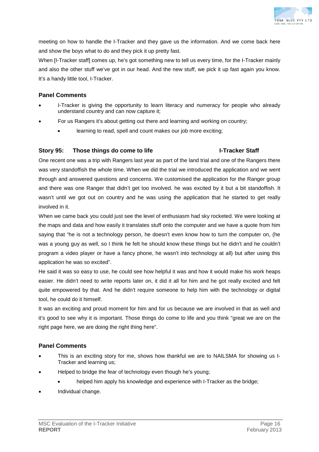

meeting on how to handle the I-Tracker and they gave us the information. And we come back here and show the boys what to do and they pick it up pretty fast.

When [I-Tracker staff] comes up, he's got something new to tell us every time, for the I-Tracker mainly and also the other stuff we've got in our head. And the new stuff, we pick it up fast again you know. It's a handy little tool, I-Tracker.

## **Panel Comments**

- I-Tracker is giving the opportunity to learn literacy and numeracy for people who already understand country and can now capture it;
- For us Rangers it's about getting out there and learning and working on country;
	- learning to read, spell and count makes our job more exciting;

## **Story 95: Those things do come to life I-Tracker Staff**

One recent one was a trip with Rangers last year as part of the land trial and one of the Rangers there was very standoffish the whole time. When we did the trial we introduced the application and we went through and answered questions and concerns. We customised the application for the Ranger group and there was one Ranger that didn't get too involved. he was excited by it but a bit standoffish. It wasn't until we got out on country and he was using the application that he started to get really involved in it.

When we came back you could just see the level of enthusiasm had sky rocketed. We were looking at the maps and data and how easily it translates stuff onto the computer and we have a quote from him saying that "he is not a technology person, he doesn't even know how to turn the computer on, (he was a young guy as well, so I think he felt he should know these things but he didn't and he couldn't program a video player or have a fancy phone, he wasn't into technology at all) but after using this application he was so excited".

He said it was so easy to use, he could see how helpful it was and how it would make his work heaps easier. He didn't need to write reports later on, it did it all for him and he got really excited and felt quite empowered by that. And he didn't require someone to help him with the technology or digital tool, he could do it himself.

It was an exciting and proud moment for him and for us because we are involved in that as well and it's good to see why it is important. Those things do come to life and you think "great we are on the right page here, we are doing the right thing here".

## **Panel Comments**

- This is an exciting story for me, shows how thankful we are to NAILSMA for showing us I-Tracker and learning us;
- Helped to bridge the fear of technology even though he's young;
	- helped him apply his knowledge and experience with I-Tracker as the bridge;
- Individual change.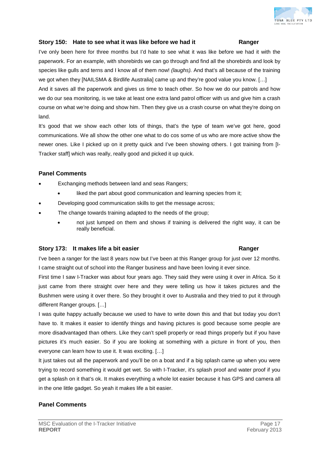

## **Story 150: Hate to see what it was like before we had it Ranger**

I've only been here for three months but I'd hate to see what it was like before we had it with the paperwork. For an example, with shorebirds we can go through and find all the shorebirds and look by species like gulls and terns and I know all of them now! *(laughs).* And that's all because of the training we got when they [NAILSMA & Birdlife Australia] came up and they're good value you know. [...]

And it saves all the paperwork and gives us time to teach other. So how we do our patrols and how we do our sea monitoring, is we take at least one extra land patrol officer with us and give him a crash course on what we're doing and show him. Then they give us a crash course on what they're doing on land.

It's good that we show each other lots of things, that's the type of team we've got here, good communications. We all show the other one what to do cos some of us who are more active show the newer ones. Like I picked up on it pretty quick and I've been showing others. I got training from [I-Tracker staff] which was really, really good and picked it up quick.

## **Panel Comments**

- Exchanging methods between land and seas Rangers;
	- liked the part about good communication and learning species from it;
- Developing good communication skills to get the message across;
- The change towards training adapted to the needs of the group;
	- not just lumped on them and shows if training is delivered the right way, it can be really beneficial.

### **Story 173: It makes life a bit easier Ranger**

## I've been a ranger for the last 8 years now but I've been at this Ranger group for just over 12 months. I came straight out of school into the Ranger business and have been loving it ever since.

First time I saw I-Tracker was about four years ago. They said they were using it over in Africa. So it just came from there straight over here and they were telling us how it takes pictures and the Bushmen were using it over there. So they brought it over to Australia and they tried to put it through different Ranger groups. […]

I was quite happy actually because we used to have to write down this and that but today you don't have to. It makes it easier to identify things and having pictures is good because some people are more disadvantaged than others. Like they can't spell properly or read things properly but if you have pictures it's much easier. So if you are looking at something with a picture in front of you, then everyone can learn how to use it. It was exciting. […]

It just takes out all the paperwork and you'll be on a boat and if a big splash came up when you were trying to record something it would get wet. So with I-Tracker, it's splash proof and water proof if you get a splash on it that's ok. It makes everything a whole lot easier because it has GPS and camera all in the one little gadget. So yeah it makes life a bit easier.

## **Panel Comments**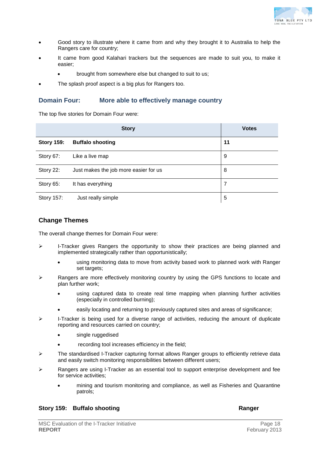

- Good story to illustrate where it came from and why they brought it to Australia to help the Rangers care for country;
- It came from good Kalahari trackers but the sequences are made to suit you, to make it easier;
	- brought from somewhere else but changed to suit to us;
- The splash proof aspect is a big plus for Rangers too.

## **Domain Four: More able to effectively manage country**

The top five stories for Domain Four were:

|                   | <b>Story</b>                          | <b>Votes</b> |
|-------------------|---------------------------------------|--------------|
| <b>Story 159:</b> | <b>Buffalo shooting</b>               | 11           |
| Story 67:         | Like a live map                       | 9            |
| Story 22:         | Just makes the job more easier for us | 8            |
| Story 65:         | It has everything                     | 7            |
| Story 157:        | Just really simple                    | 5            |

## **Change Themes**

The overall change themes for Domain Four were:

- $\triangleright$  I-Tracker gives Rangers the opportunity to show their practices are being planned and implemented strategically rather than opportunistically;
	- using monitoring data to move from activity based work to planned work with Ranger set targets;
- $\triangleright$  Rangers are more effectively monitoring country by using the GPS functions to locate and plan further work;
	- using captured data to create real time mapping when planning further activities (especially in controlled burning);
	- easily locating and returning to previously captured sites and areas of significance;
- $\triangleright$  I-Tracker is being used for a diverse range of activities, reducing the amount of duplicate reporting and resources carried on country;
	- single ruggedised
	- recording tool increases efficiency in the field;
- $\triangleright$  The standardised I-Tracker capturing format allows Ranger groups to efficiently retrieve data and easily switch monitoring responsibilities between different users;
- $\triangleright$  Rangers are using I-Tracker as an essential tool to support enterprise development and fee for service activities;
	- mining and tourism monitoring and compliance, as well as Fisheries and Quarantine patrols;

## **Story 159: Buffalo shooting Ranger Ranger Ranger**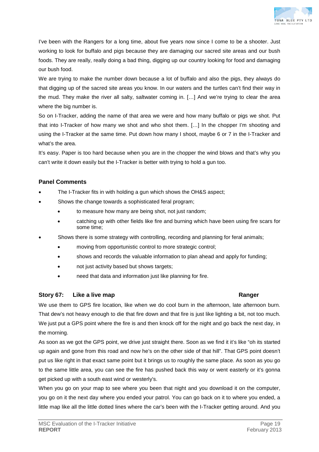

I've been with the Rangers for a long time, about five years now since I come to be a shooter. Just working to look for buffalo and pigs because they are damaging our sacred site areas and our bush foods. They are really, really doing a bad thing, digging up our country looking for food and damaging our bush food.

We are trying to make the number down because a lot of buffalo and also the pigs, they always do that digging up of the sacred site areas you know. In our waters and the turtles can't find their way in the mud. They make the river all salty, saltwater coming in. […] And we're trying to clear the area where the big number is.

So on I-Tracker, adding the name of that area we were and how many buffalo or pigs we shot. Put that into I-Tracker of how many we shot and who shot them. […] In the chopper I'm shooting and using the I-Tracker at the same time. Put down how many I shoot, maybe 6 or 7 in the I-Tracker and what's the area.

It's easy. Paper is too hard because when you are in the chopper the wind blows and that's why you can't write it down easily but the I-Tracker is better with trying to hold a gun too.

## **Panel Comments**

- The I-Tracker fits in with holding a gun which shows the OH&S aspect;
- Shows the change towards a sophisticated feral program;
	- to measure how many are being shot, not just random;
	- catching up with other fields like fire and burning which have been using fire scars for some time;
- Shows there is some strategy with controlling, recording and planning for feral animals;
	- moving from opportunistic control to more strategic control;
	- shows and records the valuable information to plan ahead and apply for funding;
	- not just activity based but shows targets;
	- need that data and information just like planning for fire.

## **Story 67: Like a live map Ranger**

We use them to GPS fire location, like when we do cool burn in the afternoon, late afternoon burn. That dew's not heavy enough to die that fire down and that fire is just like lighting a bit, not too much. We just put a GPS point where the fire is and then knock off for the night and go back the next day, in the morning.

As soon as we got the GPS point, we drive just straight there. Soon as we find it it's like "oh its started up again and gone from this road and now he's on the other side of that hill". That GPS point doesn't put us like right in that exact same point but it brings us to roughly the same place. As soon as you go to the same little area, you can see the fire has pushed back this way or went easterly or it's gonna get picked up with a south east wind or westerly's.

When you go on your map to see where you been that night and you download it on the computer, you go on it the next day where you ended your patrol. You can go back on it to where you ended, a little map like all the little dotted lines where the car's been with the I-Tracker getting around. And you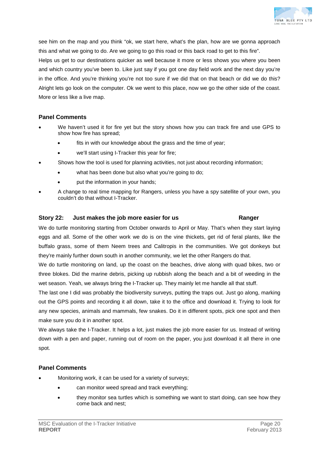

see him on the map and you think "ok, we start here, what's the plan, how are we gonna approach this and what we going to do. Are we going to go this road or this back road to get to this fire". Helps us get to our destinations quicker as well because it more or less shows you where you been and which country you've been to. Like just say if you got one day field work and the next day you're in the office. And you're thinking you're not too sure if we did that on that beach or did we do this? Alright lets go look on the computer. Ok we went to this place, now we go the other side of the coast. More or less like a live map.

## **Panel Comments**

- We haven't used it for fire yet but the story shows how you can track fire and use GPS to show how fire has spread;
	- fits in with our knowledge about the grass and the time of year;
	- we'll start using I-Tracker this year for fire;
- Shows how the tool is used for planning activities, not just about recording information;
	- what has been done but also what you're going to do;
	- put the information in your hands;
- A change to real time mapping for Rangers, unless you have a spy satellite of your own, you couldn't do that without I-Tracker.

## **Story 22: Just makes the job more easier for us Ranger**

We do turtle monitoring starting from October onwards to April or May. That's when they start laying eggs and all. Some of the other work we do is on the vine thickets, get rid of feral plants, like the buffalo grass, some of them Neem trees and Calitropis in the communities. We got donkeys but they're mainly further down south in another community, we let the other Rangers do that.

We do turtle monitoring on land, up the coast on the beaches, drive along with quad bikes, two or three blokes. Did the marine debris, picking up rubbish along the beach and a bit of weeding in the wet season. Yeah, we always bring the I-Tracker up. They mainly let me handle all that stuff.

The last one I did was probably the biodiversity surveys, putting the traps out. Just go along, marking out the GPS points and recording it all down, take it to the office and download it. Trying to look for any new species, animals and mammals, few snakes. Do it in different spots, pick one spot and then make sure you do it in another spot.

We always take the I-Tracker. It helps a lot, just makes the job more easier for us. Instead of writing down with a pen and paper, running out of room on the paper, you just download it all there in one spot.

## **Panel Comments**

- Monitoring work, it can be used for a variety of surveys;
	- can monitor weed spread and track everything;
		- they monitor sea turtles which is something we want to start doing, can see how they come back and nest;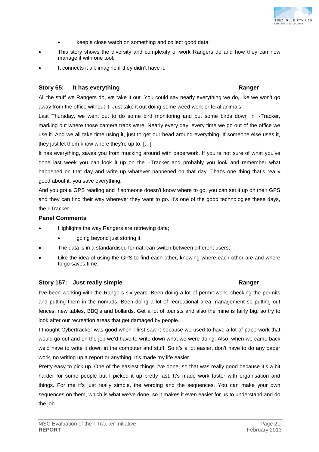- keep a close watch on something and collect good data;
- This story shows the diversity and complexity of work Rangers do and how they can now manage it with one tool;
- It connects it all; imagine if they didn't have it.

## **Story 65:** It has everything **Ranger Ranger Ranger**

All the stuff we Rangers do, we take it out. You could say nearly everything we do, like we won't go away from the office without it. Just take it out doing some weed work or feral animals.

Last Thursday, we went out to do some bird monitoring and put some birds down in I-Tracker, marking out where those camera traps were. Nearly every day, every time we go out of the office we use it. And we all take time using it, just to get our head around everything. If someone else uses it, they just let them know where they're up to. […]

It has everything, saves you from mucking around with paperwork. If you're not sure of what you've done last week you can look it up on the I-Tracker and probably you look and remember what happened on that day and write up whatever happened on that day. That's one thing that's really good about it, you save everything.

And you got a GPS reading and if someone doesn't know where to go, you can set it up on their GPS and they can find their way wherever they want to go. It's one of the good technologies these days, the I-Tracker.

## **Panel Comments**

- Highlights the way Rangers are retrieving data;
	- going beyond just storing it;
- The data is in a standardised format, can switch between different users;
- Like the idea of using the GPS to find each other, knowing where each other are and where to go saves time.

## **Story 157: Just really simple Ranger**

I've been working with the Rangers six years. Been doing a lot of permit work, checking the permits and putting them in the nomads. Been doing a lot of recreational area management so putting out fences, new tables, BBQ's and bollards. Get a lot of tourists and also the mine is fairly big, so try to look after our recreation areas that get damaged by people.

I thought Cybertracker was good when I first saw it because we used to have a lot of paperwork that would go out and on the job we'd have to write down what we were doing. Also, when we came back we'd have to write it down in the computer and stuff. So it's a lot easier, don't have to do any paper work, no writing up a report or anything. It's made my life easier.

Pretty easy to pick up. One of the easiest things I've done, so that was really good because it's a bit harder for some people but I picked it up pretty fast. It's made work faster with organisation and things. For me it's just really simple, the wording and the sequences. You can make your own sequences on them, which is what we've done, so it makes it even easier for us to understand and do the job.

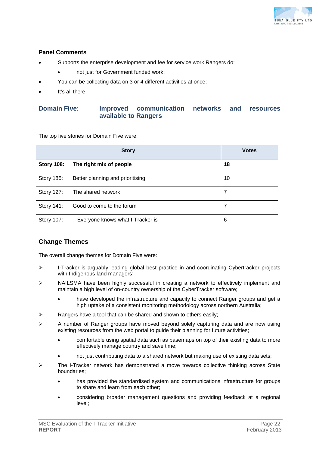

## **Panel Comments**

- Supports the enterprise development and fee for service work Rangers do;
	- not just for Government funded work;
- You can be collecting data on 3 or 4 different activities at once;
- It's all there.

## **Domain Five: Improved communication networks and resources available to Rangers**

The top five stories for Domain Five were:

|                   | <b>Story</b>                     | <b>Votes</b> |
|-------------------|----------------------------------|--------------|
| <b>Story 108:</b> | The right mix of people          | 18           |
| Story 185:        | Better planning and prioritising | 10           |
| Story 127:        | The shared network               | 7            |
| Story 141:        | Good to come to the forum        | 7            |
| Story 107:        | Everyone knows what I-Tracker is | 6            |

## **Change Themes**

The overall change themes for Domain Five were:

- $\triangleright$  I-Tracker is arguably leading global best practice in and coordinating Cybertracker projects with Indigenous land managers;
- $\triangleright$  NAILSMA have been highly successful in creating a network to effectively implement and maintain a high level of on-country ownership of the CyberTracker software;
	- have developed the infrastructure and capacity to connect Ranger groups and get a high uptake of a consistent monitoring methodology across northern Australia;
- $\triangleright$  Rangers have a tool that can be shared and shown to others easily;
- $\triangleright$  A number of Ranger groups have moved beyond solely capturing data and are now using existing resources from the web portal to guide their planning for future activities;
	- comfortable using spatial data such as basemaps on top of their existing data to more effectively manage country and save time;
	- not just contributing data to a shared network but making use of existing data sets;
- $\triangleright$  The I-Tracker network has demonstrated a move towards collective thinking across State boundaries;
	- has provided the standardised system and communications infrastructure for groups to share and learn from each other;
	- considering broader management questions and providing feedback at a regional level;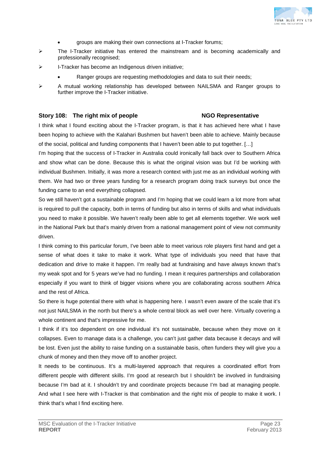

- groups are making their own connections at I-Tracker forums;
- $\triangleright$  The I-Tracker initiative has entered the mainstream and is becoming academically and professionally recognised;
- I-Tracker has become an Indigenous driven initiative;
	- Ranger groups are requesting methodologies and data to suit their needs;
- $\triangleright$  A mutual working relationship has developed between NAILSMA and Ranger groups to further improve the I-Tracker initiative.

### **Story 108: The right mix of people NGO Representative**

I think what I found exciting about the I-Tracker program, is that it has achieved here what I have been hoping to achieve with the Kalahari Bushmen but haven't been able to achieve. Mainly because of the social, political and funding components that I haven't been able to put together. […]

I'm hoping that the success of I-Tracker in Australia could ironically fall back over to Southern Africa and show what can be done. Because this is what the original vision was but I'd be working with individual Bushmen. Initially, it was more a research context with just me as an individual working with them. We had two or three years funding for a research program doing track surveys but once the funding came to an end everything collapsed.

So we still haven't got a sustainable program and I'm hoping that we could learn a lot more from what is required to pull the capacity, both in terms of funding but also in terms of skills and what individuals you need to make it possible. We haven't really been able to get all elements together. We work well in the National Park but that's mainly driven from a national management point of view not community driven.

I think coming to this particular forum, I've been able to meet various role players first hand and get a sense of what does it take to make it work. What type of individuals you need that have that dedication and drive to make it happen. I'm really bad at fundraising and have always known that's my weak spot and for 5 years we've had no funding. I mean it requires partnerships and collaboration especially if you want to think of bigger visions where you are collaborating across southern Africa and the rest of Africa.

So there is huge potential there with what is happening here. I wasn't even aware of the scale that it's not just NAILSMA in the north but there's a whole central block as well over here. Virtually covering a whole continent and that's impressive for me.

I think if it's too dependent on one individual it's not sustainable, because when they move on it collapses. Even to manage data is a challenge, you can't just gather data because it decays and will be lost. Even just the ability to raise funding on a sustainable basis, often funders they will give you a chunk of money and then they move off to another project.

It needs to be continuous. It's a multi-layered approach that requires a coordinated effort from different people with different skills. I'm good at research but I shouldn't be involved in fundraising because I'm bad at it. I shouldn't try and coordinate projects because I'm bad at managing people. And what I see here with I-Tracker is that combination and the right mix of people to make it work. I think that's what I find exciting here.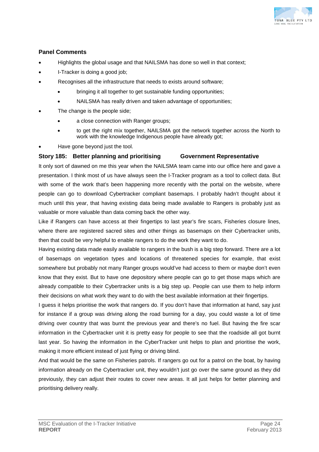

## **Panel Comments**

- Highlights the global usage and that NAILSMA has done so well in that context;
- I-Tracker is doing a good job;
- Recognises all the infrastructure that needs to exists around software;
	- bringing it all together to get sustainable funding opportunities;
	- NAILSMA has really driven and taken advantage of opportunities;
- The change is the people side;
	- a close connection with Ranger groups;
	- to get the right mix together, NAILSMA got the network together across the North to work with the knowledge Indigenous people have already got;
- Have gone beyond just the tool.

## **Story 185: Better planning and prioritising Government Representative**

It only sort of dawned on me this year when the NAILSMA team came into our office here and gave a presentation. I think most of us have always seen the I-Tracker program as a tool to collect data. But with some of the work that's been happening more recently with the portal on the website, where people can go to download Cybertracker compliant basemaps. I probably hadn't thought about it much until this year, that having existing data being made available to Rangers is probably just as valuable or more valuable than data coming back the other way.

Like if Rangers can have access at their fingertips to last year's fire scars, Fisheries closure lines, where there are registered sacred sites and other things as basemaps on their Cybertracker units, then that could be very helpful to enable rangers to do the work they want to do.

Having existing data made easily available to rangers in the bush is a big step forward. There are a lot of basemaps on vegetation types and locations of threatened species for example, that exist somewhere but probably not many Ranger groups would've had access to them or maybe don't even know that they exist. But to have one depository where people can go to get those maps which are already compatible to their Cybertracker units is a big step up. People can use them to help inform their decisions on what work they want to do with the best available information at their fingertips.

I guess it helps prioritise the work that rangers do. If you don't have that information at hand, say just for instance if a group was driving along the road burning for a day, you could waste a lot of time driving over country that was burnt the previous year and there's no fuel. But having the fire scar information in the Cybertracker unit it is pretty easy for people to see that the roadside all got burnt last year. So having the information in the CyberTracker unit helps to plan and prioritise the work, making it more efficient instead of just flying or driving blind.

And that would be the same on Fisheries patrols. If rangers go out for a patrol on the boat, by having information already on the Cybertracker unit, they wouldn't just go over the same ground as they did previously, they can adjust their routes to cover new areas. It all just helps for better planning and prioritising delivery really.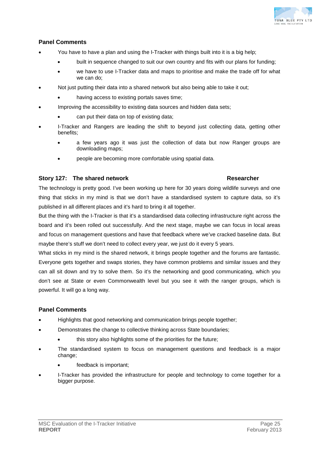

## **Panel Comments**

- You have to have a plan and using the I-Tracker with things built into it is a big help;
	- built in sequence changed to suit our own country and fits with our plans for funding;
	- we have to use I-Tracker data and maps to prioritise and make the trade off for what we can do;
- Not just putting their data into a shared network but also being able to take it out;
	- having access to existing portals saves time;
- Improving the accessibility to existing data sources and hidden data sets;
	- can put their data on top of existing data;
- I-Tracker and Rangers are leading the shift to beyond just collecting data, getting other benefits;
	- a few years ago it was just the collection of data but now Ranger groups are downloading maps;
	- people are becoming more comfortable using spatial data.

## **Story 127:** The shared network **Researcher Researcher**

The technology is pretty good. I've been working up here for 30 years doing wildlife surveys and one thing that sticks in my mind is that we don't have a standardised system to capture data, so it's published in all different places and it's hard to bring it all together.

But the thing with the I-Tracker is that it's a standardised data collecting infrastructure right across the board and it's been rolled out successfully. And the next stage, maybe we can focus in local areas and focus on management questions and have that feedback where we've cracked baseline data. But maybe there's stuff we don't need to collect every year, we just do it every 5 years.

What sticks in my mind is the shared network, it brings people together and the forums are fantastic. Everyone gets together and swaps stories, they have common problems and similar issues and they can all sit down and try to solve them. So it's the networking and good communicating, which you don't see at State or even Commonwealth level but you see it with the ranger groups, which is powerful. It will go a long way.

## **Panel Comments**

- Highlights that good networking and communication brings people together;
- Demonstrates the change to collective thinking across State boundaries;
	- this story also highlights some of the priorities for the future;
- The standardised system to focus on management questions and feedback is a major change;
	- feedback is important;
- I-Tracker has provided the infrastructure for people and technology to come together for a bigger purpose.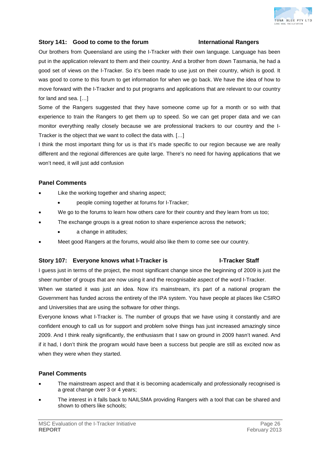

## **Story 141: Good to come to the forum International Rangers**

Our brothers from Queensland are using the I-Tracker with their own language. Language has been put in the application relevant to them and their country. And a brother from down Tasmania, he had a good set of views on the I-Tracker. So it's been made to use just on their country, which is good. It was good to come to this forum to get information for when we go back. We have the idea of how to move forward with the I-Tracker and to put programs and applications that are relevant to our country for land and sea. […]

Some of the Rangers suggested that they have someone come up for a month or so with that experience to train the Rangers to get them up to speed. So we can get proper data and we can monitor everything really closely because we are professional trackers to our country and the I-Tracker is the object that we want to collect the data with. […]

I think the most important thing for us is that it's made specific to our region because we are really different and the regional differences are quite large. There's no need for having applications that we won't need, it will just add confusion

## **Panel Comments**

- Like the working together and sharing aspect;
	- people coming together at forums for I-Tracker;
- We go to the forums to learn how others care for their country and they learn from us too;
- The exchange groups is a great notion to share experience across the network;
	- a change in attitudes;
- Meet good Rangers at the forums, would also like them to come see our country.

### **Story 107: Everyone knows what I-Tracker is I-Tracker Staff**

I guess just in terms of the project, the most significant change since the beginning of 2009 is just the sheer number of groups that are now using it and the recognisable aspect of the word I-Tracker.

When we started it was just an idea. Now it's mainstream, it's part of a national program the Government has funded across the entirety of the IPA system. You have people at places like CSIRO and Universities that are using the software for other things.

Everyone knows what I-Tracker is. The number of groups that we have using it constantly and are confident enough to call us for support and problem solve things has just increased amazingly since 2009. And I think really significantly, the enthusiasm that I saw on ground in 2009 hasn't waned. And if it had, I don't think the program would have been a success but people are still as excited now as when they were when they started.

## **Panel Comments**

- The mainstream aspect and that it is becoming academically and professionally recognised is a great change over 3 or 4 years;
- The interest in it falls back to NAILSMA providing Rangers with a tool that can be shared and shown to others like schools;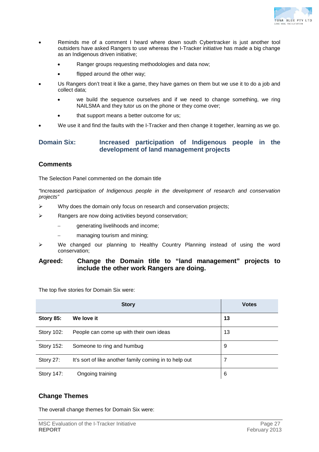

- Reminds me of a comment I heard where down south Cybertracker is just another tool outsiders have asked Rangers to use whereas the I-Tracker initiative has made a big change as an Indigenous driven initiative;
	- Ranger groups requesting methodologies and data now;
	- flipped around the other way;
- Us Rangers don't treat it like a game, they have games on them but we use it to do a job and collect data;
	- we build the sequence ourselves and if we need to change something, we ring NAILSMA and they tutor us on the phone or they come over;
	- that support means a better outcome for us;
- We use it and find the faults with the I-Tracker and then change it together, learning as we go.

## **Domain Six: Increased participation of Indigenous people in the development of land management projects**

## **Comments**

The Selection Panel commented on the domain title

*"*Increased *participation of Indigenous people in the development of research and conservation projects"*

- $\triangleright$  Why does the domain only focus on research and conservation projects;
- $\triangleright$  Rangers are now doing activities beyond conservation;
	- generating livelihoods and income;
	- managing tourism and mining;
- $\triangleright$  We changed our planning to Healthy Country Planning instead of using the word conservation;

## **Agreed: Change the Domain title to "land management" projects to include the other work Rangers are doing.**

The top five stories for Domain Six were:

|                   | <b>Story</b>                                           | <b>Votes</b> |
|-------------------|--------------------------------------------------------|--------------|
| Story 85:         | We love it                                             | 13           |
| <b>Story 102:</b> | People can come up with their own ideas                | 13           |
| <b>Story 152:</b> | Someone to ring and humbug                             | 9            |
| Story 27:         | It's sort of like another family coming in to help out | 7            |
| <b>Story 147:</b> | Ongoing training                                       | 6            |

## **Change Themes**

The overall change themes for Domain Six were: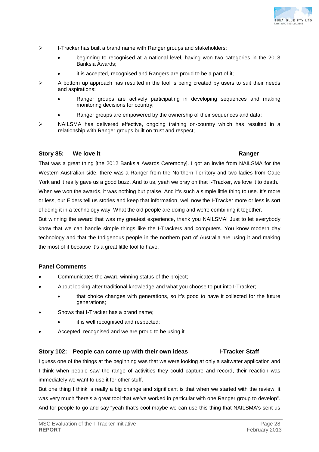

- $\triangleright$  I-Tracker has built a brand name with Ranger groups and stakeholders;
	- beginning to recognised at a national level, having won two categories in the 2013 Banksia Awards;
	- it is accepted, recognised and Rangers are proud to be a part of it;
- $\triangleright$  A bottom up approach has resulted in the tool is being created by users to suit their needs and aspirations;
	- Ranger groups are actively participating in developing sequences and making monitoring decisions for country;
	- Ranger groups are empowered by the ownership of their sequences and data;
- $\triangleright$  NAILSMA has delivered effective, ongoing training on-country which has resulted in a relationship with Ranger groups built on trust and respect;

## **Story 85: We love it Ranger**

That was a great thing [the 2012 Banksia Awards Ceremony]. I got an invite from NAILSMA for the Western Australian side, there was a Ranger from the Northern Territory and two ladies from Cape York and it really gave us a good buzz. And to us, yeah we pray on that I-Tracker, we love it to death. When we won the awards, it was nothing but praise. And it's such a simple little thing to use. It's more or less, our Elders tell us stories and keep that information, well now the I-Tracker more or less is sort of doing it in a technology way. What the old people are doing and we're combining it together. But winning the award that was my greatest experience, thank you NAILSMA! Just to let everybody

know that we can handle simple things like the I-Trackers and computers. You know modern day technology and that the Indigenous people in the northern part of Australia are using it and making the most of it because it's a great little tool to have.

## **Panel Comments**

- Communicates the award winning status of the project;
- About looking after traditional knowledge and what you choose to put into I-Tracker;
	- that choice changes with generations, so it's good to have it collected for the future generations;
- Shows that I-Tracker has a brand name;
	- it is well recognised and respected;
- Accepted, recognised and we are proud to be using it.

## **Story 102: People can come up with their own ideas I-Tracker Staff**

I guess one of the things at the beginning was that we were looking at only a saltwater application and I think when people saw the range of activities they could capture and record, their reaction was immediately we want to use it for other stuff.

But one thing I think is really a big change and significant is that when we started with the review, it was very much "here's a great tool that we've worked in particular with one Ranger group to develop". And for people to go and say "yeah that's cool maybe we can use this thing that NAILSMA's sent us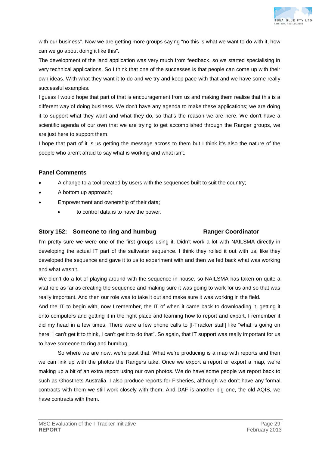

with our business". Now we are getting more groups saying "no this is what we want to do with it, how can we go about doing it like this".

The development of the land application was very much from feedback, so we started specialising in very technical applications. So I think that one of the successes is that people can come up with their own ideas. With what they want it to do and we try and keep pace with that and we have some really successful examples.

I guess I would hope that part of that is encouragement from us and making them realise that this is a different way of doing business. We don't have any agenda to make these applications; we are doing it to support what they want and what they do, so that's the reason we are here. We don't have a scientific agenda of our own that we are trying to get accomplished through the Ranger groups, we are just here to support them.

I hope that part of it is us getting the message across to them but I think it's also the nature of the people who aren't afraid to say what is working and what isn't.

## **Panel Comments**

- A change to a tool created by users with the sequences built to suit the country;
- A bottom up approach;
- Empowerment and ownership of their data;
	- to control data is to have the power.

## **Story 152: Someone to ring and humbug Ranger Coordinator**

I'm pretty sure we were one of the first groups using it. Didn't work a lot with NAILSMA directly in developing the actual IT part of the saltwater sequence. I think they rolled it out with us, like they developed the sequence and gave it to us to experiment with and then we fed back what was working and what wasn't.

We didn't do a lot of playing around with the sequence in house, so NAILSMA has taken on quite a vital role as far as creating the sequence and making sure it was going to work for us and so that was really important. And then our role was to take it out and make sure it was working in the field.

And the IT to begin with, now I remember, the IT of when it came back to downloading it, getting it onto computers and getting it in the right place and learning how to report and export, I remember it did my head in a few times. There were a few phone calls to [I-Tracker staff] like "what is going on here! I can't get it to think, I can't get it to do that". So again, that IT support was really important for us to have someone to ring and humbug.

So where we are now, we're past that. What we're producing is a map with reports and then we can link up with the photos the Rangers take. Once we export a report or export a map, we're making up a bit of an extra report using our own photos. We do have some people we report back to such as Ghostnets Australia. I also produce reports for Fisheries, although we don't have any formal contracts with them we still work closely with them. And DAF is another big one, the old AQIS, we have contracts with them.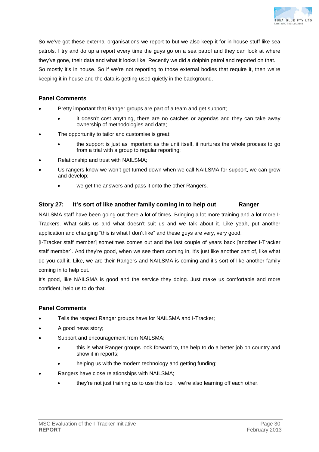

So we've got these external organisations we report to but we also keep it for in house stuff like sea patrols. I try and do up a report every time the guys go on a sea patrol and they can look at where they've gone, their data and what it looks like. Recently we did a dolphin patrol and reported on that. So mostly it's in house. So if we're not reporting to those external bodies that require it, then we're keeping it in house and the data is getting used quietly in the background.

## **Panel Comments**

- Pretty important that Ranger groups are part of a team and get support;
	- it doesn't cost anything, there are no catches or agendas and they can take away ownership of methodologies and data;
- The opportunity to tailor and customise is great;
	- the support is just as important as the unit itself, it nurtures the whole process to go from a trial with a group to regular reporting;
- Relationship and trust with NAILSMA;
- Us rangers know we won't get turned down when we call NAILSMA for support, we can grow and develop;
	- we get the answers and pass it onto the other Rangers.

## **Story 27: It's sort of like another family coming in to help out Ranger**

NAILSMA staff have been going out there a lot of times. Bringing a lot more training and a lot more I-Trackers. What suits us and what doesn't suit us and we talk about it. Like yeah, put another application and changing "this is what I don't like" and these guys are very, very good.

[I-Tracker staff member] sometimes comes out and the last couple of years back [another I-Tracker staff member]. And they're good, when we see them coming in, it's just like another part of, like what do you call it. Like, we are their Rangers and NAILSMA is coming and it's sort of like another family coming in to help out.

It's good, like NAILSMA is good and the service they doing. Just make us comfortable and more confident, help us to do that.

## **Panel Comments**

- Tells the respect Ranger groups have for NAILSMA and I-Tracker;
- A good news story;
- Support and encouragement from NAILSMA;
	- this is what Ranger groups look forward to, the help to do a better job on country and show it in reports;
	- helping us with the modern technology and getting funding;
	- Rangers have close relationships with NAILSMA;
		- they're not just training us to use this tool , we're also learning off each other.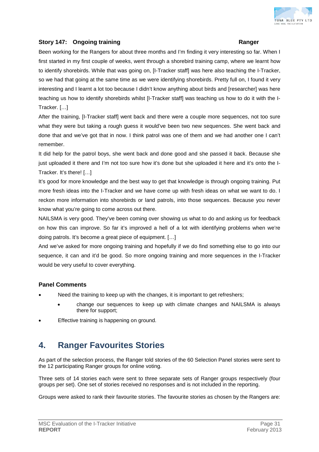

## **Story 147: Ongoing training Ranger**

Been working for the Rangers for about three months and I'm finding it very interesting so far. When I first started in my first couple of weeks, went through a shorebird training camp, where we learnt how to identify shorebirds. While that was going on, [I-Tracker staff] was here also teaching the I-Tracker, so we had that going at the same time as we were identifying shorebirds. Pretty full on, I found it very interesting and I learnt a lot too because I didn't know anything about birds and [researcher] was here teaching us how to identify shorebirds whilst [I-Tracker staff] was teaching us how to do it with the I-Tracker. […]

After the training, [I-Tracker staff] went back and there were a couple more sequences, not too sure what they were but taking a rough guess it would've been two new sequences. She went back and done that and we've got that in now. I think patrol was one of them and we had another one I can't remember.

It did help for the patrol boys, she went back and done good and she passed it back. Because she just uploaded it there and I'm not too sure how it's done but she uploaded it here and it's onto the I-Tracker. It's there! […]

It's good for more knowledge and the best way to get that knowledge is through ongoing training. Put more fresh ideas into the I-Tracker and we have come up with fresh ideas on what we want to do. I reckon more information into shorebirds or land patrols, into those sequences. Because you never know what you're going to come across out there.

NAILSMA is very good. They've been coming over showing us what to do and asking us for feedback on how this can improve. So far it's improved a hell of a lot with identifying problems when we're doing patrols. It's become a great piece of equipment. […]

And we've asked for more ongoing training and hopefully if we do find something else to go into our sequence, it can and it'd be good. So more ongoing training and more sequences in the I-Tracker would be very useful to cover everything.

## **Panel Comments**

- Need the training to keep up with the changes, it is important to get refreshers;
	- change our sequences to keep up with climate changes and NAILSMA is always there for support;
- Effective training is happening on ground.

## **4. Ranger Favourites Stories**

As part of the selection process, the Ranger told stories of the 60 Selection Panel stories were sent to the 12 participating Ranger groups for online voting.

Three sets of 14 stories each were sent to three separate sets of Ranger groups respectively (four groups per set). One set of stories received no responses and is not included in the reporting.

Groups were asked to rank their favourite stories. The favourite stories as chosen by the Rangers are: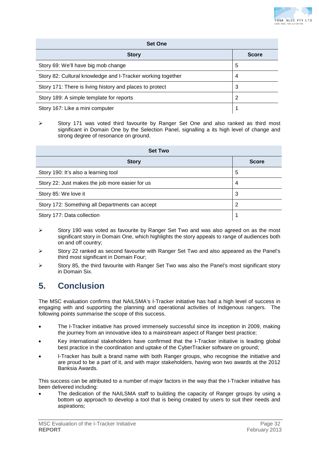

| <b>Set One</b>                                              |              |  |
|-------------------------------------------------------------|--------------|--|
| <b>Story</b>                                                | <b>Score</b> |  |
| Story 69: We'll have big mob change                         | 5            |  |
| Story 82: Cultural knowledge and I-Tracker working together | 4            |  |
| Story 171: There is living history and places to protect    | 3            |  |
| Story 189: A simple template for reports                    |              |  |
| Story 167: Like a mini computer                             |              |  |

 $\triangleright$  Story 171 was voted third favourite by Ranger Set One and also ranked as third most significant in Domain One by the Selection Panel, signalling a its high level of change and strong degree of resonance on ground.

| <b>Set Two</b>                                  |              |  |
|-------------------------------------------------|--------------|--|
| <b>Story</b>                                    | <b>Score</b> |  |
| Story 190: It's also a learning tool            | 5            |  |
| Story 22: Just makes the job more easier for us | 4            |  |
| Story 85: We love it                            | 3            |  |
| Story 172: Something all Departments can accept | 2            |  |
| Story 177: Data collection                      |              |  |

- $\triangleright$  Story 190 was voted as favourite by Ranger Set Two and was also agreed on as the most significant story in Domain One, which highlights the story appeals to range of audiences both on and off country;
- Story 22 ranked as second favourite with Ranger Set Two and also appeared as the Panel's third most significant in Domain Four;
- $\triangleright$  Story 85, the third favourite with Ranger Set Two was also the Panel's most significant story in Domain Six.

## **5. Conclusion**

The MSC evaluation confirms that NAILSMA's I-Tracker initiative has had a high level of success in engaging with and supporting the planning and operational activities of Indigenous rangers. The following points summarise the scope of this success.

- The I-Tracker initiative has proved immensely successful since its inception in 2009, making the journey from an innovative idea to a mainstream aspect of Ranger best practice;
- Key international stakeholders have confirmed that the I-Tracker initiative is leading global best practice in the coordination and uptake of the CyberTracker software on ground;
- I-Tracker has built a brand name with both Ranger groups, who recognise the initiative and are proud to be a part of it, and with major stakeholders, having won two awards at the 2012 Banksia Awards.

This success can be attributed to a number of major factors in the way that the I-Tracker initiative has been delivered including:

The dedication of the NAILSMA staff to building the capacity of Ranger groups by using a bottom up approach to develop a tool that is being created by users to suit their needs and aspirations;